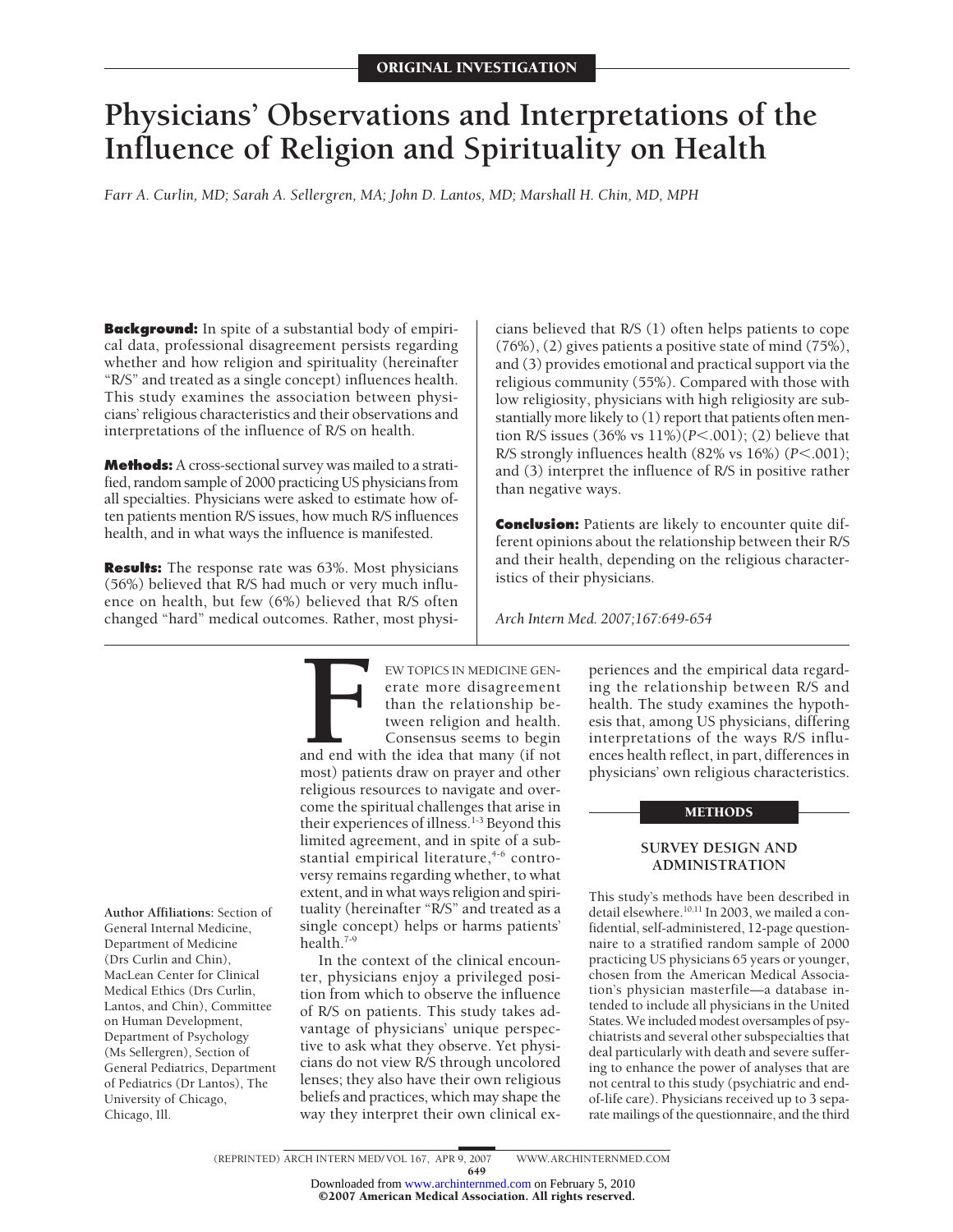# **Physicians' Observations and Interpretations of the Influence of Religion and Spirituality on Health**

*Farr A. Curlin, MD; Sarah A. Sellergren, MA; John D. Lantos, MD; Marshall H. Chin, MD, MPH*

**Background:** In spite of a substantial body of empirical data, professional disagreement persists regarding whether and how religion and spirituality (hereinafter "R/S" and treated as a single concept) influences health. This study examines the association between physicians' religious characteristics and their observations and interpretations of the influence of R/S on health.

**Methods:** A cross-sectional survey was mailed to a stratified, random sample of 2000 practicing US physicians from all specialties. Physicians were asked to estimate how often patients mention R/S issues, how much R/S influences health, and in what ways the influence is manifested.

**Results:** The response rate was 63%. Most physicians (56%) believed that R/S had much or very much influence on health, but few (6%) believed that R/S often changed "hard" medical outcomes. Rather, most physicians believed that R/S (1) often helps patients to cope (76%), (2) gives patients a positive state of mind (75%), and (3) provides emotional and practical support via the religious community (55%). Compared with those with low religiosity, physicians with high religiosity are substantially more likely to (1) report that patients often mention R/S issues (36% vs 11%)(*P*<.001); (2) believe that R/S strongly influences health (82% vs 16%) ( $P$ <.001); and (3) interpret the influence of R/S in positive rather than negative ways.

**Conclusion:** Patients are likely to encounter quite different opinions about the relationship between their R/S and their health, depending on the religious characteristics of their physicians.

*Arch Intern Med. 2007;167:649-654*

**Author Affiliations:** Section of General Internal Medicine, Department of Medicine (Drs Curlin and Chin), MacLean Center for Clinical Medical Ethics (Drs Curlin, Lantos, and Chin), Committee on Human Development, Department of Psychology (Ms Sellergren), Section of General Pediatrics, Department of Pediatrics (Dr Lantos), The University of Chicago, Chicago, Ill.

**FRANCE IN MEDICINE GEN-**<br>
erate more disagreement<br>
than the relationship be-<br>
tween religion and health.<br>
Consensus seems to begin<br>
and end with the idea that many (if not<br>
most) patients draw on prayer and other erate more disagreement than the relationship between religion and health. Consensus seems to begin

and end with the idea that many (if not religious resources to navigate and overcome the spiritual challenges that arise in their experiences of illness.<sup>1-3</sup> Beyond this limited agreement, and in spite of a substantial empirical literature,<sup>4-6</sup> controversy remains regarding whether, to what extent, and in what ways religion and spirituality (hereinafter "R/S" and treated as a single concept) helps or harms patients' health.<sup>7-9</sup>

In the context of the clinical encounter, physicians enjoy a privileged position from which to observe the influence of R/S on patients. This study takes advantage of physicians' unique perspective to ask what they observe. Yet physicians do not view R/S through uncolored lenses; they also have their own religious beliefs and practices, which may shape the way they interpret their own clinical experiences and the empirical data regarding the relationship between R/S and health. The study examines the hypothesis that, among US physicians, differing interpretations of the ways R/S influences health reflect, in part, differences in physicians' own religious characteristics.

## METHODS

## **SURVEY DESIGN AND ADMINISTRATION**

This study's methods have been described in detail elsewhere.<sup>10,11</sup> In 2003, we mailed a confidential, self-administered, 12-page questionnaire to a stratified random sample of 2000 practicing US physicians 65 years or younger, chosen from the American Medical Association's physician masterfile—a database intended to include all physicians in the United States.We included modest oversamples of psychiatrists and several other subspecialties that deal particularly with death and severe suffering to enhance the power of analyses that are not central to this study (psychiatric and endof-life care). Physicians received up to 3 separate mailings of the questionnaire, and the third

<sup>649</sup>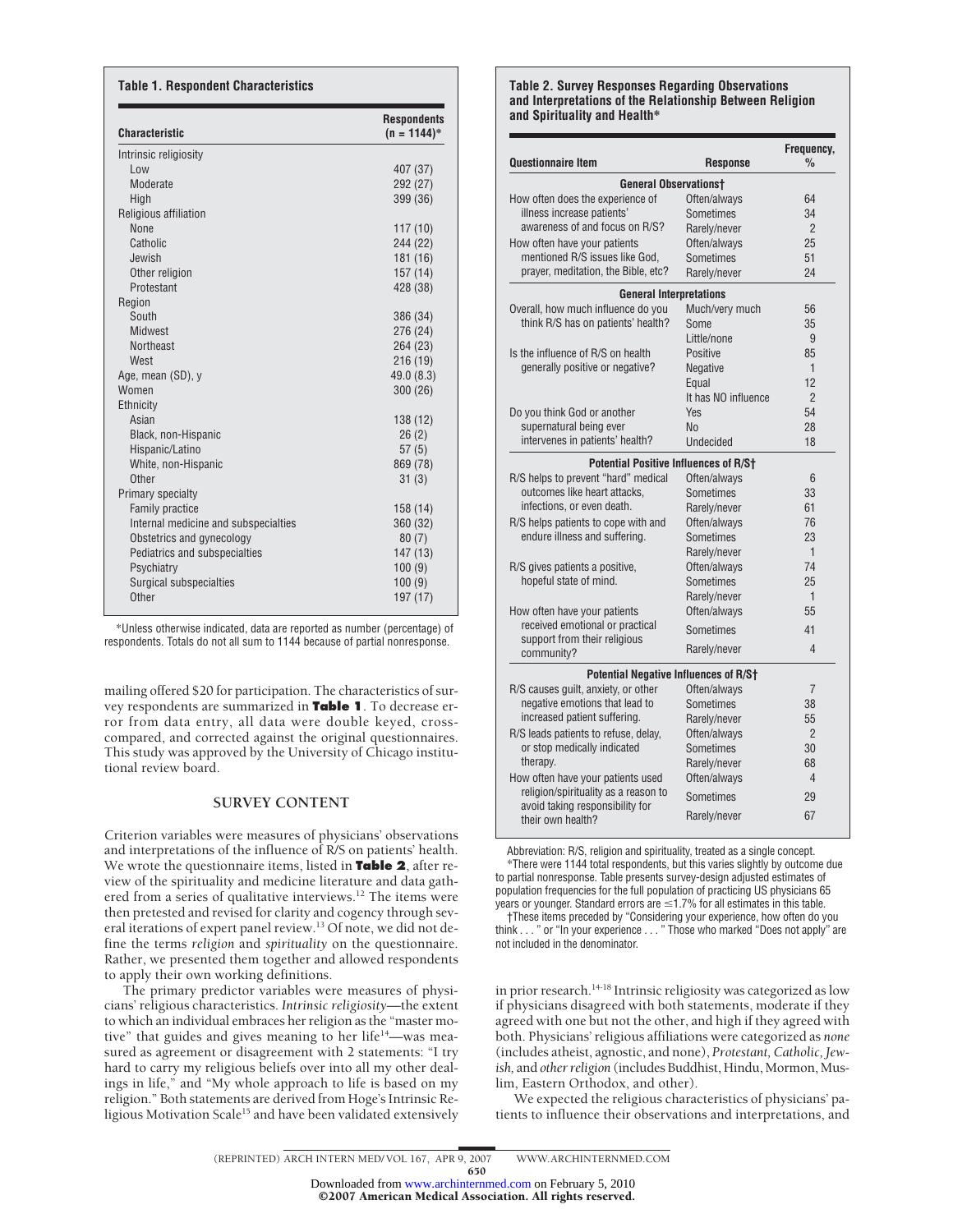| <b>Characteristic</b>                | <b>Respondents</b><br>$(n = 1144)^*$ |
|--------------------------------------|--------------------------------------|
| Intrinsic religiosity                |                                      |
| Low                                  | 407 (37)                             |
| Moderate                             | 292 (27)                             |
| High                                 | 399 (36)                             |
| Religious affiliation                |                                      |
| <b>None</b>                          | 117 (10)                             |
| Catholic                             | 244 (22)                             |
| Jewish                               | 181 (16)                             |
| Other religion                       | 157(14)                              |
| Protestant                           | 428 (38)                             |
| Region                               |                                      |
| South                                | 386 (34)                             |
| Midwest                              | 276 (24)                             |
| <b>Northeast</b>                     | 264 (23)                             |
| West                                 | 216 (19)                             |
| Age, mean (SD), y                    | 49.0 (8.3)                           |
| Women                                | 300 (26)                             |
| Ethnicity                            |                                      |
| Asian                                | 138 (12)                             |
| Black, non-Hispanic                  | 26(2)                                |
| Hispanic/Latino                      | 57(5)                                |
| White, non-Hispanic                  | 869 (78)                             |
| Other                                | 31(3)                                |
| Primary specialty                    |                                      |
| <b>Family practice</b>               | 158 (14)                             |
| Internal medicine and subspecialties | 360 (32)                             |
| Obstetrics and gynecology            | 80(7)                                |
| Pediatrics and subspecialties        | 147 (13)                             |
| Psychiatry                           | 100(9)                               |
| <b>Surgical subspecialties</b>       | 100(9)                               |
| Other                                | 197 (17)                             |

\*Unless otherwise indicated, data are reported as number (percentage) of respondents. Totals do not all sum to 1144 because of partial nonresponse.

mailing offered \$20 for participation. The characteristics of survey respondents are summarized in **Table 1**. To decrease error from data entry, all data were double keyed, crosscompared, and corrected against the original questionnaires. This study was approved by the University of Chicago institutional review board.

## **SURVEY CONTENT**

Criterion variables were measures of physicians' observations and interpretations of the influence of R/S on patients' health. We wrote the questionnaire items, listed in **Table 2**, after review of the spirituality and medicine literature and data gathered from a series of qualitative interviews.<sup>12</sup> The items were then pretested and revised for clarity and cogency through several iterations of expert panel review.<sup>13</sup> Of note, we did not define the terms *religion* and *spirituality* on the questionnaire. Rather, we presented them together and allowed respondents to apply their own working definitions.

The primary predictor variables were measures of physicians' religious characteristics. *Intrinsic religiosity—*the extent to which an individual embraces her religion as the "master motive" that guides and gives meaning to her life<sup>14</sup>—was measured as agreement or disagreement with 2 statements: "I try hard to carry my religious beliefs over into all my other dealings in life," and "My whole approach to life is based on my religion." Both statements are derived from Hoge's Intrinsic Religious Motivation Scale<sup>15</sup> and have been validated extensively

#### **Table 2. Survey Responses Regarding Observations and Interpretations of the Relationship Between Religion and Spirituality and Health\***

| <b>Questionnaire Item</b>                                               | <b>Response</b>     | Frequency,<br>$\%$ |  |  |  |  |
|-------------------------------------------------------------------------|---------------------|--------------------|--|--|--|--|
| <b>General Observationst</b>                                            |                     |                    |  |  |  |  |
| How often does the experience of                                        | Often/always        | 64                 |  |  |  |  |
| illness increase patients'                                              | Sometimes           | 34                 |  |  |  |  |
| awareness of and focus on R/S?                                          | Rarely/never        | $\mathfrak{p}$     |  |  |  |  |
| How often have your patients                                            | Often/always        | 25                 |  |  |  |  |
| mentioned R/S issues like God.                                          | Sometimes           | 51                 |  |  |  |  |
| prayer, meditation, the Bible, etc?                                     | Rarely/never        | 24                 |  |  |  |  |
| <b>General Interpretations</b>                                          |                     |                    |  |  |  |  |
| Overall, how much influence do you                                      | Much/very much      | 56                 |  |  |  |  |
| think R/S has on patients' health?                                      | Some                | 35                 |  |  |  |  |
|                                                                         | Little/none         | 9                  |  |  |  |  |
| Is the influence of R/S on health                                       | Positive            | 85                 |  |  |  |  |
| denerally positive or negative?                                         | <b>Negative</b>     | 1                  |  |  |  |  |
|                                                                         | Equal               | 12                 |  |  |  |  |
|                                                                         | It has NO influence | $\overline{2}$     |  |  |  |  |
| Do you think God or another                                             | Yes                 | 54                 |  |  |  |  |
| supernatural being ever                                                 | No                  | 28                 |  |  |  |  |
| intervenes in patients' health?                                         | <b>Undecided</b>    | 18                 |  |  |  |  |
| <b>Potential Positive Influences of R/St</b>                            |                     |                    |  |  |  |  |
| R/S helps to prevent "hard" medical                                     | Often/always        | 6                  |  |  |  |  |
| outcomes like heart attacks.                                            | Sometimes           | 33                 |  |  |  |  |
| infections, or even death.                                              | Rarely/never        | 61                 |  |  |  |  |
| R/S helps patients to cope with and                                     | Often/always        | 76                 |  |  |  |  |
| endure illness and suffering.                                           | Sometimes           | 23                 |  |  |  |  |
|                                                                         | Rarely/never        | $\mathbf{1}$       |  |  |  |  |
| R/S gives patients a positive,                                          | Often/always        | 74                 |  |  |  |  |
| hopeful state of mind.                                                  | Sometimes           | 25                 |  |  |  |  |
|                                                                         | Rarely/never        | $\mathbf{1}$       |  |  |  |  |
| How often have your patients                                            | Often/always        | 55                 |  |  |  |  |
| received emotional or practical                                         | Sometimes           | 41                 |  |  |  |  |
| support from their religious<br>community?                              | Rarely/never        | 4                  |  |  |  |  |
| <b>Potential Negative Influences of R/St</b>                            |                     |                    |  |  |  |  |
| R/S causes guilt, anxiety, or other                                     | Often/always        | 7                  |  |  |  |  |
| negative emotions that lead to                                          | Sometimes           | 38                 |  |  |  |  |
| increased patient suffering.                                            | Rarely/never        | 55                 |  |  |  |  |
| R/S leads patients to refuse, delay,                                    | Often/always        | $\overline{2}$     |  |  |  |  |
| or stop medically indicated                                             | Sometimes           | 30                 |  |  |  |  |
| therapy.                                                                | Rarely/never        | 68                 |  |  |  |  |
| How often have your patients used                                       | Often/always        | 4                  |  |  |  |  |
| religion/spirituality as a reason to<br>avoid taking responsibility for | Sometimes           | 29                 |  |  |  |  |
| their own health?                                                       | Rarely/never        | 67                 |  |  |  |  |

Abbreviation: R/S, religion and spirituality, treated as a single concept. \*There were 1144 total respondents, but this varies slightly by outcome due to partial nonresponse. Table presents survey-design adjusted estimates of population frequencies for the full population of practicing US physicians 65 years or younger. Standard errors are  $\leq$ 1.7% for all estimates in this table.

†These items preceded by "Considering your experience, how often do you think . . . " or "In your experience..." Those who marked "Does not apply" are not included in the denominator.

in prior research.<sup>14-18</sup> Intrinsic religiosity was categorized as low if physicians disagreed with both statements, moderate if they agreed with one but not the other, and high if they agreed with both. Physicians' religious affiliations were categorized as *none* (includes atheist, agnostic, and none), *Protestant, Catholic, Jewish,* and *other religion* (includes Buddhist, Hindu, Mormon, Muslim, Eastern Orthodox, and other).

We expected the religious characteristics of physicians' patients to influence their observations and interpretations, and

650

Downloaded from [www.archinternmed.com](http://www.archinternmed.com) on February 5, 2010<br>© 2007 American Medical Association. All rights reserved.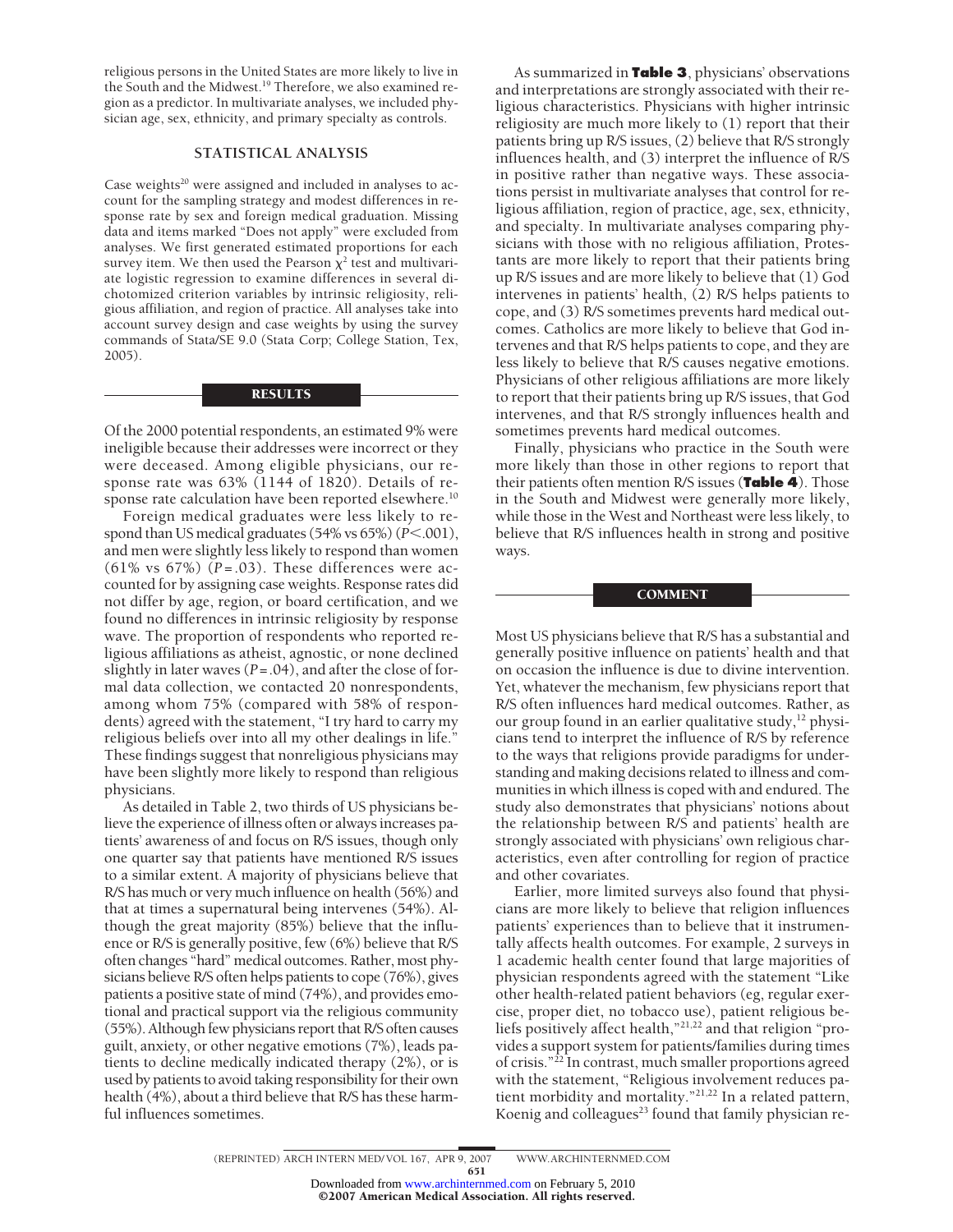religious persons in the United States are more likely to live in the South and the Midwest.19 Therefore, we also examined region as a predictor. In multivariate analyses, we included physician age, sex, ethnicity, and primary specialty as controls.

## **STATISTICAL ANALYSIS**

Case weights<sup>20</sup> were assigned and included in analyses to account for the sampling strategy and modest differences in response rate by sex and foreign medical graduation. Missing data and items marked "Does not apply" were excluded from analyses. We first generated estimated proportions for each survey item. We then used the Pearson  $\chi^2$  test and multivariate logistic regression to examine differences in several dichotomized criterion variables by intrinsic religiosity, religious affiliation, and region of practice. All analyses take into account survey design and case weights by using the survey commands of Stata/SE 9.0 (Stata Corp; College Station, Tex, 2005).

## **RESULTS**

Of the 2000 potential respondents, an estimated 9% were ineligible because their addresses were incorrect or they were deceased. Among eligible physicians, our response rate was 63% (1144 of 1820). Details of response rate calculation have been reported elsewhere.<sup>10</sup>

Foreign medical graduates were less likely to respond than US medical graduates  $(54\% \text{ vs } 65\%)$   $(P<.001)$ , and men were slightly less likely to respond than women (61% vs 67%) (*P*=.03). These differences were accounted for by assigning case weights. Response rates did not differ by age, region, or board certification, and we found no differences in intrinsic religiosity by response wave. The proportion of respondents who reported religious affiliations as atheist, agnostic, or none declined slightly in later waves (*P*=.04), and after the close of formal data collection, we contacted 20 nonrespondents, among whom 75% (compared with 58% of respondents) agreed with the statement, "I try hard to carry my religious beliefs over into all my other dealings in life." These findings suggest that nonreligious physicians may have been slightly more likely to respond than religious physicians.

As detailed in Table 2, two thirds of US physicians believe the experience of illness often or always increases patients' awareness of and focus on R/S issues, though only one quarter say that patients have mentioned R/S issues to a similar extent. A majority of physicians believe that R/S has much or very much influence on health (56%) and that at times a supernatural being intervenes (54%). Although the great majority (85%) believe that the influence or R/S is generally positive, few (6%) believe that R/S often changes "hard" medical outcomes. Rather, most physicians believe R/S often helps patients to cope (76%), gives patients a positive state of mind (74%), and provides emotional and practical support via the religious community (55%). Although few physicians report that R/S often causes guilt, anxiety, or other negative emotions (7%), leads patients to decline medically indicated therapy (2%), or is used by patients to avoid taking responsibility for their own health (4%), about a third believe that R/S has these harmful influences sometimes.

As summarized in **Table 3**, physicians' observations and interpretations are strongly associated with their religious characteristics. Physicians with higher intrinsic religiosity are much more likely to (1) report that their patients bring up R/S issues, (2) believe that R/S strongly influences health, and (3) interpret the influence of R/S in positive rather than negative ways. These associations persist in multivariate analyses that control for religious affiliation, region of practice, age, sex, ethnicity, and specialty. In multivariate analyses comparing physicians with those with no religious affiliation, Protestants are more likely to report that their patients bring up R/S issues and are more likely to believe that (1) God intervenes in patients' health, (2) R/S helps patients to cope, and (3) R/S sometimes prevents hard medical outcomes. Catholics are more likely to believe that God intervenes and that R/S helps patients to cope, and they are less likely to believe that R/S causes negative emotions. Physicians of other religious affiliations are more likely to report that their patients bring up R/S issues, that God intervenes, and that R/S strongly influences health and sometimes prevents hard medical outcomes.

Finally, physicians who practice in the South were more likely than those in other regions to report that their patients often mention R/S issues (**Table 4**). Those in the South and Midwest were generally more likely, while those in the West and Northeast were less likely, to believe that R/S influences health in strong and positive ways.

### COMMENT

Most US physicians believe that R/S has a substantial and generally positive influence on patients' health and that on occasion the influence is due to divine intervention. Yet, whatever the mechanism, few physicians report that R/S often influences hard medical outcomes. Rather, as our group found in an earlier qualitative study,  $12$  physicians tend to interpret the influence of R/S by reference to the ways that religions provide paradigms for understanding and making decisions related to illness and communities in which illness is coped with and endured. The study also demonstrates that physicians' notions about the relationship between R/S and patients' health are strongly associated with physicians' own religious characteristics, even after controlling for region of practice and other covariates.

Earlier, more limited surveys also found that physicians are more likely to believe that religion influences patients' experiences than to believe that it instrumentally affects health outcomes. For example, 2 surveys in 1 academic health center found that large majorities of physician respondents agreed with the statement "Like other health-related patient behaviors (eg, regular exercise, proper diet, no tobacco use), patient religious beliefs positively affect health,"21,22 and that religion "provides a support system for patients/families during times of crisis."22 In contrast, much smaller proportions agreed with the statement, "Religious involvement reduces patient morbidity and mortality."21,22 In a related pattern, Koenig and colleagues<sup>23</sup> found that family physician re-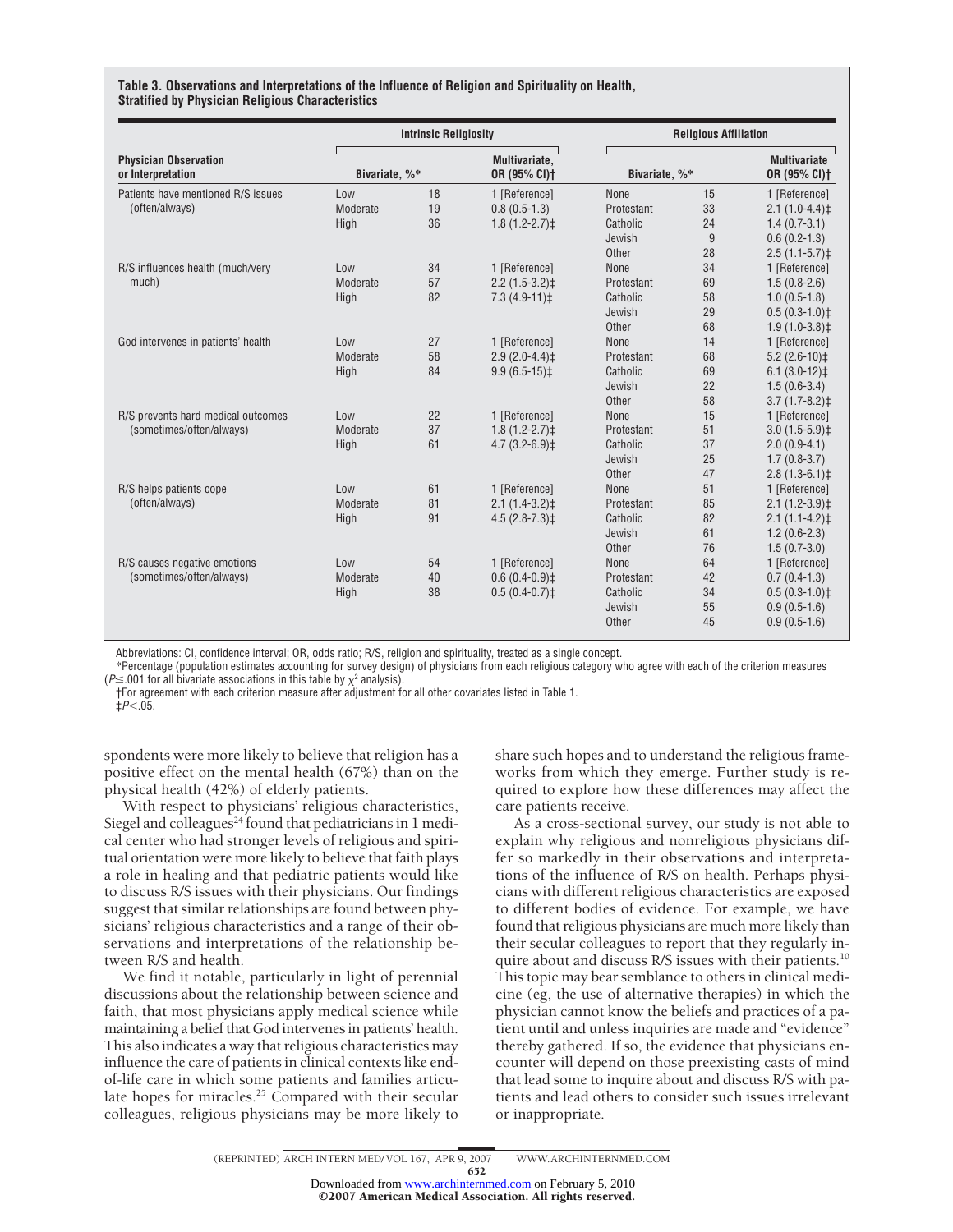#### **Table 3. Observations and Interpretations of the Influence of Religion and Spirituality on Health, Stratified by Physician Religious Characteristics**

| <b>Physician Observation</b><br>or Interpretation<br>Patients have mentioned R/S issues | <b>Intrinsic Religiosity</b> |    |                               |               | <b>Religious Affiliation</b> |                                     |  |
|-----------------------------------------------------------------------------------------|------------------------------|----|-------------------------------|---------------|------------------------------|-------------------------------------|--|
|                                                                                         | Bivariate, %*                |    | Multivariate,<br>OR (95% CI)+ | Bivariate, %* |                              | <b>Multivariate</b><br>OR (95% CI)+ |  |
|                                                                                         | Low                          | 18 | 1 [Reference]                 | None          | 15                           | 1 [Reference]                       |  |
| (often/always)                                                                          | Moderate                     | 19 | $0.8(0.5-1.3)$                | Protestant    | 33                           | $2.1(1.0-4.4)$                      |  |
|                                                                                         | High                         | 36 | $1.8(1.2 - 2.7)$ ‡            | Catholic      | 24                           | $1.4(0.7-3.1)$                      |  |
|                                                                                         |                              |    |                               | Jewish        | 9                            | $0.6(0.2-1.3)$                      |  |
|                                                                                         |                              |    |                               | Other         | 28                           | $2.5(1.1-5.7)$                      |  |
| R/S influences health (much/very                                                        | Low                          | 34 | 1 [Reference]                 | None          | 34                           | 1 [Reference]                       |  |
| much)                                                                                   | Moderate                     | 57 | $2.2(1.5-3.2)$ ‡              | Protestant    | 69                           | $1.5(0.8-2.6)$                      |  |
|                                                                                         | High                         | 82 | $7.3(4.9-11)$                 | Catholic      | 58                           | $1.0(0.5-1.8)$                      |  |
|                                                                                         |                              |    |                               | Jewish        | 29                           | $0.5(0.3-1.0)$ ‡                    |  |
|                                                                                         |                              |    |                               | Other         | 68                           | $1.9(1.0-3.8)$ ‡                    |  |
| God intervenes in patients' health                                                      | Low                          | 27 | 1 [Reference]                 | None          | 14                           | 1 [Reference]                       |  |
|                                                                                         | Moderate                     | 58 | $2.9(2.0-4.4)$ ‡              | Protestant    | 68                           | $5.2(2.6-10)$                       |  |
|                                                                                         | High                         | 84 | $9.9(6.5-15)$ <sup>±</sup>    | Catholic      | 69                           | $6.1(3.0-12)$ ‡                     |  |
|                                                                                         |                              |    |                               | Jewish        | 22                           | $1.5(0.6-3.4)$                      |  |
|                                                                                         |                              |    |                               | Other         | 58                           | $3.7(1.7-8.2)$ ‡                    |  |
| R/S prevents hard medical outcomes                                                      | Low                          | 22 | 1 [Reference]                 | None          | 15                           | 1 [Reference]                       |  |
| (sometimes/often/always)                                                                | Moderate                     | 37 | $1.8(1.2 - 2.7)$ ‡            | Protestant    | 51                           | $3.0(1.5-5.9)$ ‡                    |  |
|                                                                                         | High                         | 61 | $4.7(3.2-6.9)$ ‡              | Catholic      | 37                           | $2.0(0.9-4.1)$                      |  |
|                                                                                         |                              |    |                               | Jewish        | 25                           | $1.7(0.8-3.7)$                      |  |
|                                                                                         |                              |    |                               | Other         | 47                           | $2.8(1.3-6.1)$ ‡                    |  |
| R/S helps patients cope                                                                 | Low                          | 61 | 1 [Reference]                 | None          | 51                           | 1 [Reference]                       |  |
| (often/always)                                                                          | Moderate                     | 81 | $2.1(1.4-3.2)$ ‡              | Protestant    | 85                           | $2.1(1.2-3.9)$                      |  |
|                                                                                         | High                         | 91 | $4.5(2.8-7.3)$ ‡              | Catholic      | 82                           | $2.1(1.1-4.2)$                      |  |
|                                                                                         |                              |    |                               | Jewish        | 61                           | $1.2(0.6-2.3)$                      |  |
|                                                                                         |                              |    |                               | Other         | 76                           | $1.5(0.7-3.0)$                      |  |
| R/S causes negative emotions                                                            | Low                          | 54 | 1 [Reference]                 | None          | 64                           | 1 [Reference]                       |  |
| (sometimes/often/always)                                                                | Moderate                     | 40 | $0.6(0.4-0.9)$ <sup>±</sup>   | Protestant    | 42                           | $0.7(0.4-1.3)$                      |  |
|                                                                                         | High                         | 38 | $0.5(0.4-0.7)$ ‡              | Catholic      | 34                           | $0.5(0.3-1.0)$ ‡                    |  |
|                                                                                         |                              |    |                               | Jewish        | 55                           | $0.9(0.5-1.6)$                      |  |
|                                                                                         |                              |    |                               | Other         | 45                           | $0.9(0.5-1.6)$                      |  |

Abbreviations: CI, confidence interval; OR, odds ratio; R/S, religion and spirituality, treated as a single concept.

\*Percentage (population estimates accounting for survey design) of physicians from each religious category who agree with each of the criterion measures ( $P \leq 001$  for all bivariate associations in this table by  $\chi^2$  analysis).

†For agreement with each criterion measure after adjustment for all other covariates listed in Table 1.

 $\pm P < 0.5$ 

spondents were more likely to believe that religion has a positive effect on the mental health (67%) than on the physical health (42%) of elderly patients.

With respect to physicians' religious characteristics, Siegel and colleagues<sup>24</sup> found that pediatricians in 1 medical center who had stronger levels of religious and spiritual orientation were more likely to believe that faith plays a role in healing and that pediatric patients would like to discuss R/S issues with their physicians. Our findings suggest that similar relationships are found between physicians' religious characteristics and a range of their observations and interpretations of the relationship between R/S and health.

We find it notable, particularly in light of perennial discussions about the relationship between science and faith, that most physicians apply medical science while maintaining a belief that God intervenes in patients' health. This also indicates a way that religious characteristics may influence the care of patients in clinical contexts like endof-life care in which some patients and families articulate hopes for miracles.<sup>25</sup> Compared with their secular colleagues, religious physicians may be more likely to

share such hopes and to understand the religious frameworks from which they emerge. Further study is required to explore how these differences may affect the care patients receive.

As a cross-sectional survey, our study is not able to explain why religious and nonreligious physicians differ so markedly in their observations and interpretations of the influence of R/S on health. Perhaps physicians with different religious characteristics are exposed to different bodies of evidence. For example, we have found that religious physicians are much more likely than their secular colleagues to report that they regularly inquire about and discuss R/S issues with their patients.<sup>10</sup> This topic may bear semblance to others in clinical medicine (eg, the use of alternative therapies) in which the physician cannot know the beliefs and practices of a patient until and unless inquiries are made and "evidence" thereby gathered. If so, the evidence that physicians encounter will depend on those preexisting casts of mind that lead some to inquire about and discuss R/S with patients and lead others to consider such issues irrelevant or inappropriate.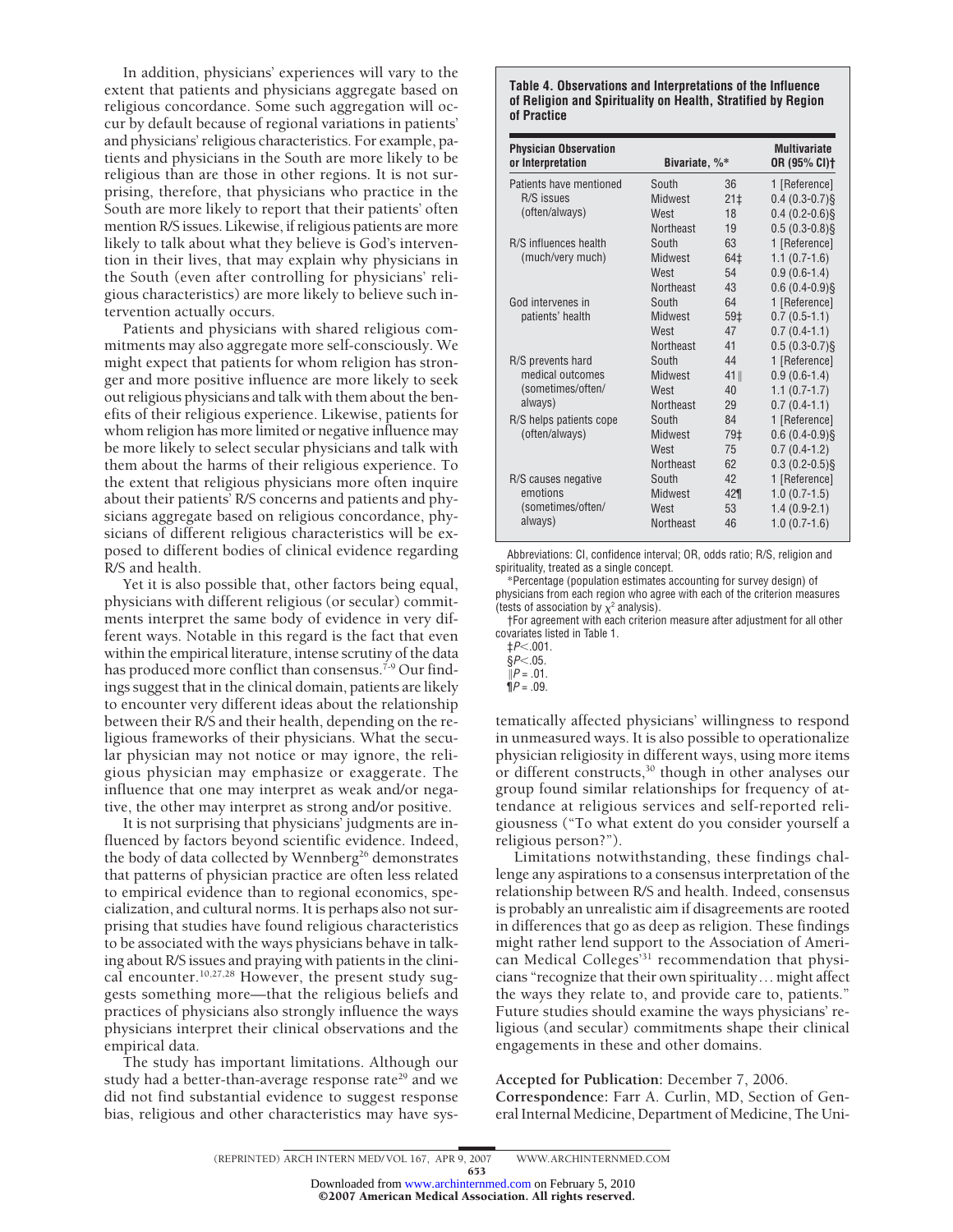In addition, physicians' experiences will vary to the extent that patients and physicians aggregate based on religious concordance. Some such aggregation will occur by default because of regional variations in patients' and physicians' religious characteristics. For example, patients and physicians in the South are more likely to be religious than are those in other regions. It is not surprising, therefore, that physicians who practice in the South are more likely to report that their patients' often mention R/S issues. Likewise, if religious patients are more likely to talk about what they believe is God's intervention in their lives, that may explain why physicians in the South (even after controlling for physicians' religious characteristics) are more likely to believe such intervention actually occurs.

Patients and physicians with shared religious commitments may also aggregate more self-consciously. We might expect that patients for whom religion has stronger and more positive influence are more likely to seek out religious physicians and talk with them about the benefits of their religious experience. Likewise, patients for whom religion has more limited or negative influence may be more likely to select secular physicians and talk with them about the harms of their religious experience. To the extent that religious physicians more often inquire about their patients' R/S concerns and patients and physicians aggregate based on religious concordance, physicians of different religious characteristics will be exposed to different bodies of clinical evidence regarding R/S and health.

Yet it is also possible that, other factors being equal, physicians with different religious (or secular) commitments interpret the same body of evidence in very different ways. Notable in this regard is the fact that even within the empirical literature, intense scrutiny of the data has produced more conflict than consensus.<sup>7-9</sup> Our findings suggest that in the clinical domain, patients are likely to encounter very different ideas about the relationship between their R/S and their health, depending on the religious frameworks of their physicians. What the secular physician may not notice or may ignore, the religious physician may emphasize or exaggerate. The influence that one may interpret as weak and/or negative, the other may interpret as strong and/or positive.

It is not surprising that physicians' judgments are influenced by factors beyond scientific evidence. Indeed, the body of data collected by Wennberg<sup>26</sup> demonstrates that patterns of physician practice are often less related to empirical evidence than to regional economics, specialization, and cultural norms. It is perhaps also not surprising that studies have found religious characteristics to be associated with the ways physicians behave in talking about R/S issues and praying with patients in the clinical encounter.<sup>10,27,28</sup> However, the present study suggests something more—that the religious beliefs and practices of physicians also strongly influence the ways physicians interpret their clinical observations and the empirical data.

The study has important limitations. Although our study had a better-than-average response rate<sup>29</sup> and we did not find substantial evidence to suggest response bias, religious and other characteristics may have sys-

#### **Table 4. Observations and Interpretations of the Influence of Religion and Spirituality on Health, Stratified by Region of Practice**

| <b>Physician Observation</b><br>or Interpretation | Bivariate, %*    | <b>Multivariate</b><br>OR (95% CI) <sup>+</sup> |                  |
|---------------------------------------------------|------------------|-------------------------------------------------|------------------|
| Patients have mentioned                           | South            | 36                                              | 1 [Reference]    |
| R/S issues                                        | Midwest          | 21 <sub>±</sub>                                 | $0.4(0.3-0.7)$ § |
| (often/always)                                    | West             | 18                                              | $0.4(0.2-0.6)$ § |
|                                                   | <b>Northeast</b> | 19                                              | $0.5(0.3-0.8)$ § |
| R/S influences health                             | South            | 63                                              | 1 [Reference]    |
| (much/very much)                                  | <b>Midwest</b>   | 64‡                                             | $1.1(0.7-1.6)$   |
|                                                   | West             | 54                                              | $0.9(0.6-1.4)$   |
|                                                   | <b>Northeast</b> | 43                                              | $0.6(0.4-0.9)$ § |
| God intervenes in                                 | South            | 64                                              | 1 [Reference]    |
| patients' health                                  | Midwest          | 59‡                                             | $0.7(0.5-1.1)$   |
|                                                   | West             | 47                                              | $0.7(0.4-1.1)$   |
|                                                   | <b>Northeast</b> | 41                                              | $0.5(0.3-0.7)$ § |
| R/S prevents hard                                 | South            | 44                                              | 1 [Reference]    |
| medical outcomes                                  | Midwest          | 41                                              | $0.9(0.6-1.4)$   |
| (sometimes/often/                                 | West             | 40                                              | $1.1(0.7-1.7)$   |
| always)                                           | <b>Northeast</b> | 29                                              | $0.7(0.4-1.1)$   |
| R/S helps patients cope<br>(often/always)         | South            | 84                                              | 1 [Reference]    |
|                                                   | <b>Midwest</b>   | 79‡                                             | $0.6(0.4-0.9)$ § |
|                                                   | West             | 75                                              | $0.7(0.4-1.2)$   |
|                                                   | <b>Northeast</b> | 62                                              | $0.3(0.2-0.5)\$  |
| R/S causes negative                               | South            | 42                                              | 1 [Reference]    |
| emotions                                          | <b>Midwest</b>   | 42¶                                             | $1.0(0.7-1.5)$   |
| (sometimes/often/                                 | West             | 53                                              | $1.4(0.9-2.1)$   |
| always)                                           | <b>Northeast</b> | 46                                              | $1.0(0.7-1.6)$   |

Abbreviations: CI, confidence interval; OR, odds ratio; R/S, religion and spirituality, treated as a single concept.

\*Percentage (population estimates accounting for survey design) of physicians from each region who agree with each of the criterion measures (tests of association by  $\chi^2$  analysis).

†For agreement with each criterion measure after adjustment for all other covariates listed in Table 1.

tematically affected physicians' willingness to respond in unmeasured ways. It is also possible to operationalize physician religiosity in different ways, using more items or different constructs,30 though in other analyses our group found similar relationships for frequency of attendance at religious services and self-reported religiousness ("To what extent do you consider yourself a religious person?").

Limitations notwithstanding, these findings challenge any aspirations to a consensus interpretation of the relationship between R/S and health. Indeed, consensus is probably an unrealistic aim if disagreements are rooted in differences that go as deep as religion. These findings might rather lend support to the Association of American Medical Colleges<sup>'31</sup> recommendation that physicians "recognize that their own spirituality... might affect the ways they relate to, and provide care to, patients." Future studies should examine the ways physicians' religious (and secular) commitments shape their clinical engagements in these and other domains.

## **Accepted for Publication:** December 7, 2006.

**Correspondence:** Farr A. Curlin, MD, Section of General Internal Medicine, Department of Medicine, The Uni-

653

Downloaded from [www.archinternmed.com](http://www.archinternmed.com) on February 5, 2010<br>© 2007 American Medical Association. All rights reserved.

<sup>‡</sup>*P*.001.

 $\dot{\S}P$  <.05.

 $\bar{P} = .01$ .

 $\P P = .09.$ 

<sup>(</sup>REPRINTED) ARCH INTERN MED/ VOL 167, APR 9, 2007 WWW.ARCHINTERNMED.COM